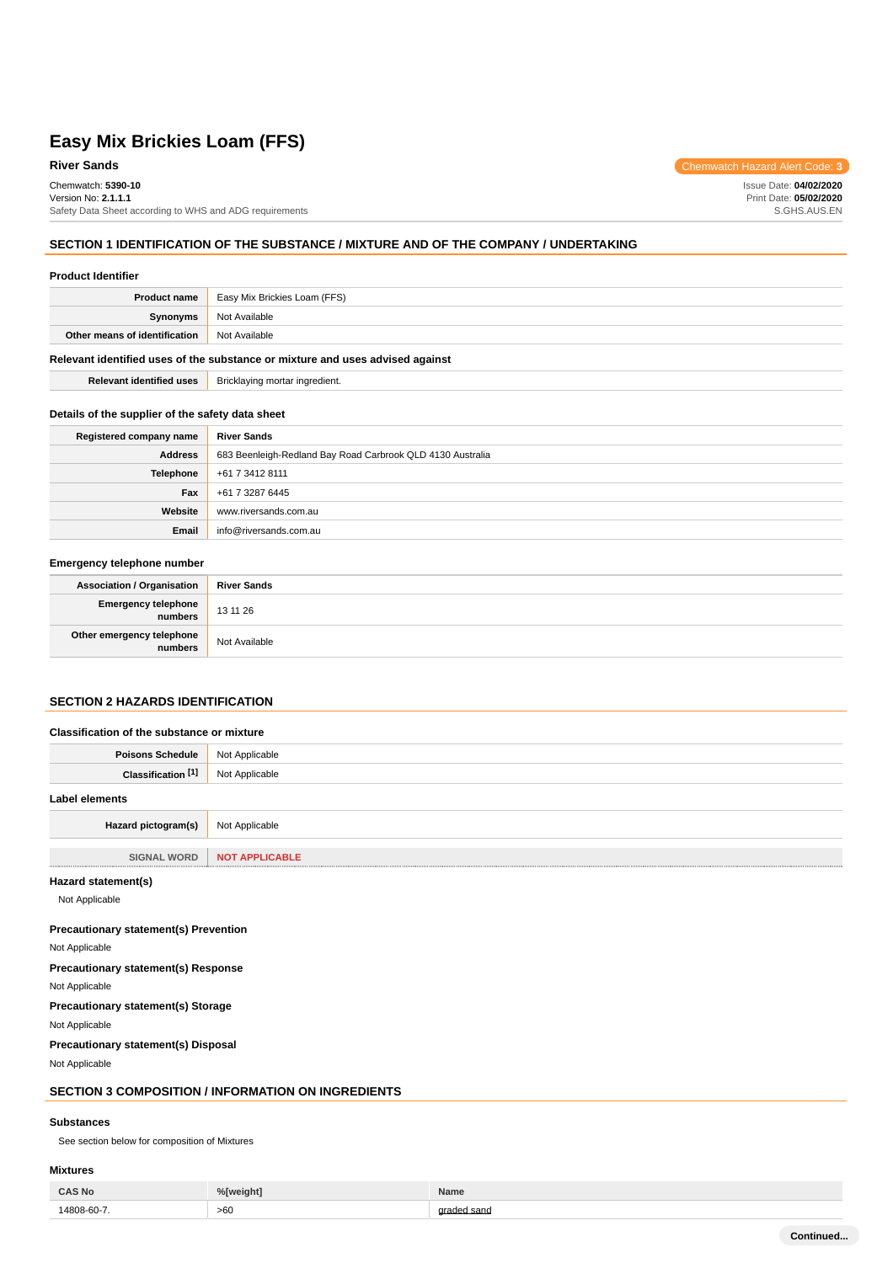# **River Sands** Chemwatch Hazard Alert Code: 3

Chemwatch: **5390-10** Version No: **2.1.1.1** Safety Data Sheet according to WHS and ADG requirements

### **SECTION 1 IDENTIFICATION OF THE SUBSTANCE / MIXTURE AND OF THE COMPANY / UNDERTAKING**

#### **Product Identifier**

| <b>Product name</b>                                                           | <b>Easy Mix Brickies Loam (FFS)</b> |  |  |
|-------------------------------------------------------------------------------|-------------------------------------|--|--|
| Synonyms                                                                      | Not Available                       |  |  |
| Other means of identification                                                 | Not Available                       |  |  |
| Relevant identified uses of the substance or mixture and uses advised against |                                     |  |  |

**Relevant identified uses** Bricklaying mortar ingredient.

### **Details of the supplier of the safety data sheet**

| Registered company name | <b>River Sands</b>                                         |
|-------------------------|------------------------------------------------------------|
| <b>Address</b>          | 683 Beenleigh-Redland Bay Road Carbrook QLD 4130 Australia |
| <b>Telephone</b>        | +61 7 3412 8111                                            |
| Fax                     | +61 7 3287 6445                                            |
| Website                 | www.riversands.com.au                                      |
| Email                   | info@riversands.com.au                                     |

### **Emergency telephone number**

| <b>Association / Organisation</b>    | <b>River Sands</b> |
|--------------------------------------|--------------------|
| Emergency telephone<br>numbers       | 13 11 26           |
| Other emergency telephone<br>numbers | Not Available      |

# **SECTION 2 HAZARDS IDENTIFICATION**

| Classification of the substance or mixture |                       |  |  |
|--------------------------------------------|-----------------------|--|--|
| <b>Poisons Schedule</b>                    | Not Applicable        |  |  |
| Classification [1]                         | Not Applicable        |  |  |
| Label elements                             |                       |  |  |
| Hazard pictogram(s)                        | Not Applicable        |  |  |
|                                            |                       |  |  |
| <b>SIGNAL WORD</b>                         | <b>NOT APPLICABLE</b> |  |  |

#### **Hazard statement(s)**

Not Applicable

### **Precautionary statement(s) Prevention**

Not Applicable

**Precautionary statement(s) Response** Not Applicable

**Precautionary statement(s) Storage**

Not Applicable

**Precautionary statement(s) Disposal**

Not Applicable

# **SECTION 3 COMPOSITION / INFORMATION ON INGREDIENTS**

#### **Substances**

See section below for composition of Mixtures

### **Mixtures**

| <b>CAS No</b> | %[weight] | Name |
|---------------|-----------|------|
| 14808-60-7    | >60       | sano |

**Continued...**

Issue Date: **04/02/2020** Print Date: **05/02/2020** S.GHS.AUS.EN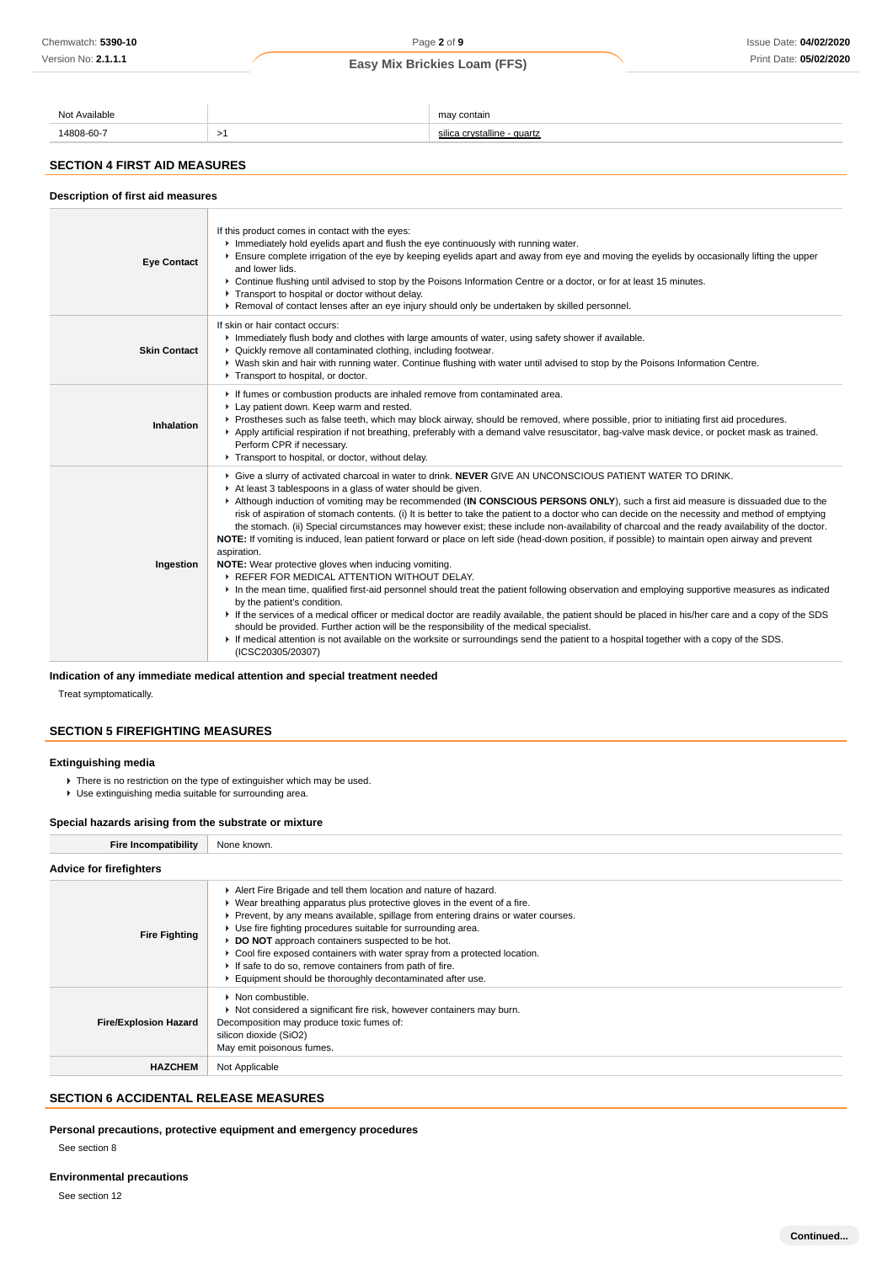| Avoilabla  |  | ma<br>$\cdots$<br>нан<br> |  |  |  |
|------------|--|---------------------------|--|--|--|
| $1000$ co. |  | quartz                    |  |  |  |

# **SECTION 4 FIRST AID MEASURES**

| Description of first aid measures |                                                                                                                                                                                                                                                                                                                                                                                                                                                                                                                                                                                                                                                                                                                                                                                                                                                                                                                                                                                                                                                                                                                                                                                                                                                                                                                                                                                                                                                                                           |  |  |  |  |
|-----------------------------------|-------------------------------------------------------------------------------------------------------------------------------------------------------------------------------------------------------------------------------------------------------------------------------------------------------------------------------------------------------------------------------------------------------------------------------------------------------------------------------------------------------------------------------------------------------------------------------------------------------------------------------------------------------------------------------------------------------------------------------------------------------------------------------------------------------------------------------------------------------------------------------------------------------------------------------------------------------------------------------------------------------------------------------------------------------------------------------------------------------------------------------------------------------------------------------------------------------------------------------------------------------------------------------------------------------------------------------------------------------------------------------------------------------------------------------------------------------------------------------------------|--|--|--|--|
| <b>Eye Contact</b>                | If this product comes in contact with the eyes:<br>In Immediately hold eyelids apart and flush the eye continuously with running water.<br>Ensure complete irrigation of the eye by keeping eyelids apart and away from eye and moving the eyelids by occasionally lifting the upper<br>and lower lids.<br>▶ Continue flushing until advised to stop by the Poisons Information Centre or a doctor, or for at least 15 minutes.<br>Transport to hospital or doctor without delay.<br>► Removal of contact lenses after an eye injury should only be undertaken by skilled personnel.                                                                                                                                                                                                                                                                                                                                                                                                                                                                                                                                                                                                                                                                                                                                                                                                                                                                                                      |  |  |  |  |
| <b>Skin Contact</b>               | If skin or hair contact occurs:<br>Immediately flush body and clothes with large amounts of water, using safety shower if available.<br>• Quickly remove all contaminated clothing, including footwear.<br>> Wash skin and hair with running water. Continue flushing with water until advised to stop by the Poisons Information Centre.<br>Transport to hospital, or doctor.                                                                                                                                                                                                                                                                                                                                                                                                                                                                                                                                                                                                                                                                                                                                                                                                                                                                                                                                                                                                                                                                                                            |  |  |  |  |
| Inhalation                        | If fumes or combustion products are inhaled remove from contaminated area.<br>Lay patient down. Keep warm and rested.<br>▶ Prostheses such as false teeth, which may block airway, should be removed, where possible, prior to initiating first aid procedures.<br>▶ Apply artificial respiration if not breathing, preferably with a demand valve resuscitator, bag-valve mask device, or pocket mask as trained.<br>Perform CPR if necessary.<br>Transport to hospital, or doctor, without delay.                                                                                                                                                                                                                                                                                                                                                                                                                                                                                                                                                                                                                                                                                                                                                                                                                                                                                                                                                                                       |  |  |  |  |
| Ingestion                         | ▶ Give a slurry of activated charcoal in water to drink. NEVER GIVE AN UNCONSCIOUS PATIENT WATER TO DRINK.<br>At least 3 tablespoons in a glass of water should be given.<br>Although induction of vomiting may be recommended (IN CONSCIOUS PERSONS ONLY), such a first aid measure is dissuaded due to the<br>risk of aspiration of stomach contents. (i) It is better to take the patient to a doctor who can decide on the necessity and method of emptying<br>the stomach. (ii) Special circumstances may however exist; these include non-availability of charcoal and the ready availability of the doctor.<br>NOTE: If vomiting is induced, lean patient forward or place on left side (head-down position, if possible) to maintain open airway and prevent<br>aspiration.<br>NOTE: Wear protective gloves when inducing vomiting.<br>▶ REFER FOR MEDICAL ATTENTION WITHOUT DELAY.<br>In the mean time, qualified first-aid personnel should treat the patient following observation and employing supportive measures as indicated<br>by the patient's condition.<br>If the services of a medical officer or medical doctor are readily available, the patient should be placed in his/her care and a copy of the SDS<br>should be provided. Further action will be the responsibility of the medical specialist.<br>If medical attention is not available on the worksite or surroundings send the patient to a hospital together with a copy of the SDS.<br>(ICSC20305/20307) |  |  |  |  |

### **Indication of any immediate medical attention and special treatment needed**

Treat symptomatically.

### **SECTION 5 FIREFIGHTING MEASURES**

### **Extinguishing media**

- There is no restriction on the type of extinguisher which may be used.
- Use extinguishing media suitable for surrounding area.

### **Special hazards arising from the substrate or mixture**

| <b>Fire Incompatibility</b>                                                                                                                                                                                                                                                                                                                                                                                                                                                                                                                                                                       | None known.                                                                                                                                                                                                        |  |  |  |
|---------------------------------------------------------------------------------------------------------------------------------------------------------------------------------------------------------------------------------------------------------------------------------------------------------------------------------------------------------------------------------------------------------------------------------------------------------------------------------------------------------------------------------------------------------------------------------------------------|--------------------------------------------------------------------------------------------------------------------------------------------------------------------------------------------------------------------|--|--|--|
| <b>Advice for firefighters</b>                                                                                                                                                                                                                                                                                                                                                                                                                                                                                                                                                                    |                                                                                                                                                                                                                    |  |  |  |
| Alert Fire Brigade and tell them location and nature of hazard.<br>$\triangleright$ Wear breathing apparatus plus protective gloves in the event of a fire.<br>▶ Prevent, by any means available, spillage from entering drains or water courses.<br>▶ Use fire fighting procedures suitable for surrounding area.<br><b>Fire Fighting</b><br>DO NOT approach containers suspected to be hot.<br>► Cool fire exposed containers with water spray from a protected location.<br>If safe to do so, remove containers from path of fire.<br>Equipment should be thoroughly decontaminated after use. |                                                                                                                                                                                                                    |  |  |  |
| <b>Fire/Explosion Hazard</b>                                                                                                                                                                                                                                                                                                                                                                                                                                                                                                                                                                      | $\blacktriangleright$ Non combustible.<br>Not considered a significant fire risk, however containers may burn.<br>Decomposition may produce toxic fumes of:<br>silicon dioxide (SiO2)<br>May emit poisonous fumes. |  |  |  |
| <b>HAZCHEM</b>                                                                                                                                                                                                                                                                                                                                                                                                                                                                                                                                                                                    | Not Applicable                                                                                                                                                                                                     |  |  |  |

### **SECTION 6 ACCIDENTAL RELEASE MEASURES**

**Personal precautions, protective equipment and emergency procedures**

See section 8

See section 12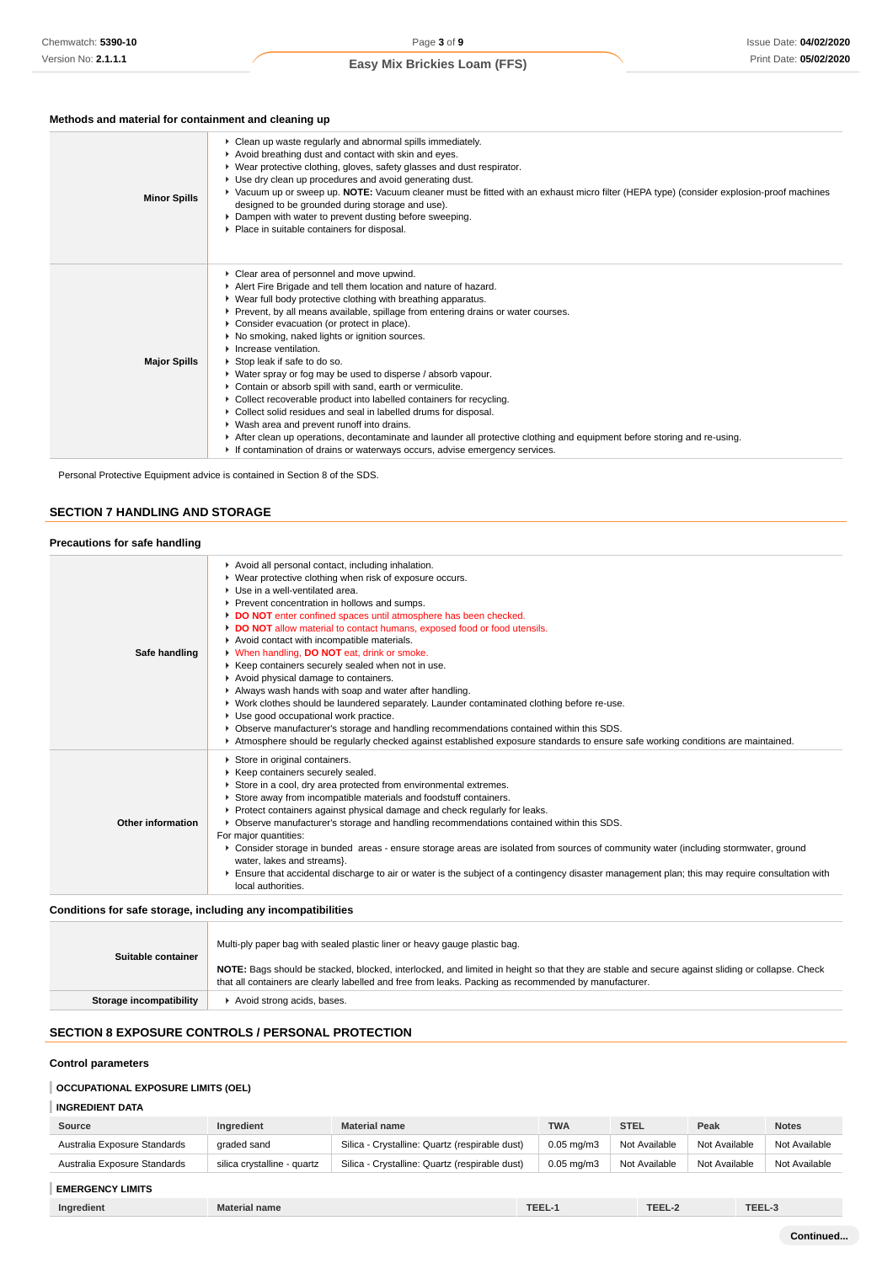# **Methods and material for containment and cleaning up**

| <b>Minor Spills</b> | • Clean up waste regularly and abnormal spills immediately.<br>Avoid breathing dust and contact with skin and eyes.<br>▶ Wear protective clothing, gloves, safety glasses and dust respirator.<br>▶ Use dry clean up procedures and avoid generating dust.<br>▶ Vacuum up or sweep up. NOTE: Vacuum cleaner must be fitted with an exhaust micro filter (HEPA type) (consider explosion-proof machines<br>designed to be grounded during storage and use).<br>Dampen with water to prevent dusting before sweeping.<br>Place in suitable containers for disposal.                                                                                                                                                                                                                                                                                                                                                                                                                     |
|---------------------|---------------------------------------------------------------------------------------------------------------------------------------------------------------------------------------------------------------------------------------------------------------------------------------------------------------------------------------------------------------------------------------------------------------------------------------------------------------------------------------------------------------------------------------------------------------------------------------------------------------------------------------------------------------------------------------------------------------------------------------------------------------------------------------------------------------------------------------------------------------------------------------------------------------------------------------------------------------------------------------|
| <b>Major Spills</b> | Clear area of personnel and move upwind.<br>Alert Fire Brigade and tell them location and nature of hazard.<br>▶ Wear full body protective clothing with breathing apparatus.<br>▶ Prevent, by all means available, spillage from entering drains or water courses.<br>Consider evacuation (or protect in place).<br>▶ No smoking, naked lights or ignition sources.<br>$\blacktriangleright$ Increase ventilation.<br>Stop leak if safe to do so.<br>▶ Water spray or fog may be used to disperse / absorb vapour.<br>Contain or absorb spill with sand, earth or vermiculite.<br>• Collect recoverable product into labelled containers for recycling.<br>▶ Collect solid residues and seal in labelled drums for disposal.<br>▶ Wash area and prevent runoff into drains.<br>After clean up operations, decontaminate and launder all protective clothing and equipment before storing and re-using.<br>If contamination of drains or waterways occurs, advise emergency services. |

Personal Protective Equipment advice is contained in Section 8 of the SDS.

# **SECTION 7 HANDLING AND STORAGE**

### **Precautions for safe handling**

| Safe handling     | Avoid all personal contact, including inhalation.<br>▶ Wear protective clothing when risk of exposure occurs.<br>Use in a well-ventilated area.<br>Prevent concentration in hollows and sumps.<br>DO NOT enter confined spaces until atmosphere has been checked.<br>DO NOT allow material to contact humans, exposed food or food utensils.<br>Avoid contact with incompatible materials.<br>V When handling, DO NOT eat, drink or smoke.<br>▶ Keep containers securely sealed when not in use.<br>Avoid physical damage to containers.<br>Always wash hands with soap and water after handling.<br>▶ Work clothes should be laundered separately. Launder contaminated clothing before re-use.<br>Use good occupational work practice.<br>▶ Observe manufacturer's storage and handling recommendations contained within this SDS.<br>Atmosphere should be regularly checked against established exposure standards to ensure safe working conditions are maintained. |  |  |  |
|-------------------|-------------------------------------------------------------------------------------------------------------------------------------------------------------------------------------------------------------------------------------------------------------------------------------------------------------------------------------------------------------------------------------------------------------------------------------------------------------------------------------------------------------------------------------------------------------------------------------------------------------------------------------------------------------------------------------------------------------------------------------------------------------------------------------------------------------------------------------------------------------------------------------------------------------------------------------------------------------------------|--|--|--|
| Other information | Store in original containers.<br>▶ Keep containers securely sealed.<br>Store in a cool, dry area protected from environmental extremes.<br>Store away from incompatible materials and foodstuff containers.<br>▶ Protect containers against physical damage and check regularly for leaks.<br>▶ Observe manufacturer's storage and handling recommendations contained within this SDS.<br>For major quantities:<br>▶ Consider storage in bunded areas - ensure storage areas are isolated from sources of community water (including stormwater, ground<br>water, lakes and streams}.<br>Ensure that accidental discharge to air or water is the subject of a contingency disaster management plan; this may require consultation with<br>local authorities.                                                                                                                                                                                                            |  |  |  |

### **Conditions for safe storage, including any incompatibilities**

| Suitable container      | Multi-ply paper bag with sealed plastic liner or heavy gauge plastic bag.                                                                                                                                                                                |  |  |  |
|-------------------------|----------------------------------------------------------------------------------------------------------------------------------------------------------------------------------------------------------------------------------------------------------|--|--|--|
|                         | NOTE: Bags should be stacked, blocked, interlocked, and limited in height so that they are stable and secure against sliding or collapse. Check<br>that all containers are clearly labelled and free from leaks. Packing as recommended by manufacturer. |  |  |  |
| Storage incompatibility | Avoid strong acids, bases.                                                                                                                                                                                                                               |  |  |  |

# **SECTION 8 EXPOSURE CONTROLS / PERSONAL PROTECTION**

### **Control parameters**

# **OCCUPATIONAL EXPOSURE LIMITS (OEL)**

# **INGREDIENT DATA**

| Source                       | Ingredient                  | <b>Material name</b>                           | <b>TWA</b>      | <b>STEL</b>   | Peak          | <b>Notes</b>  |
|------------------------------|-----------------------------|------------------------------------------------|-----------------|---------------|---------------|---------------|
| Australia Exposure Standards | graded sand                 | Silica - Crystalline: Quartz (respirable dust) | $0.05$ mg/m $3$ | Not Available | Not Available | Not Available |
| Australia Exposure Standards | silica crystalline - quartz | Silica - Crystalline: Quartz (respirable dust) | $0.05$ mg/m $3$ | Not Available | Not Available | Not Available |
| <b>EMERGENCY LIMITS</b>      |                             |                                                |                 |               |               |               |
| Ingredient                   | <b>Material name</b>        |                                                | TEEL-1          | TEEL-2        | TEEL-3        |               |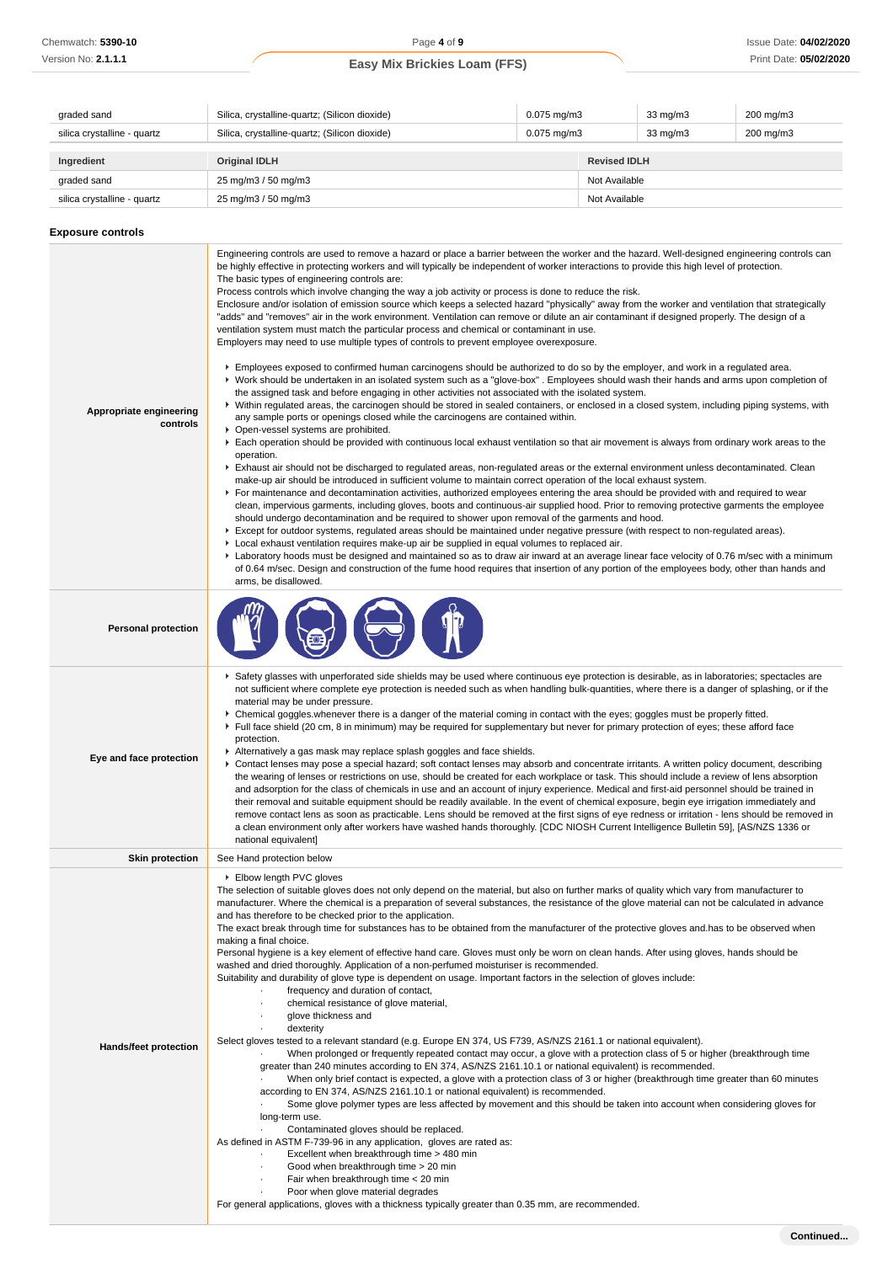| graded sand                 | Silica, crystalline-quartz; (Silicon dioxide) | $0.075$ mg/m $3$<br>33 mg/m3 |                     | 200 mg/m3     |           |
|-----------------------------|-----------------------------------------------|------------------------------|---------------------|---------------|-----------|
| silica crystalline - quartz | Silica, crystalline-quartz; (Silicon dioxide) | $0.075$ mg/m $3$             |                     | 33 mg/m3      | 200 mg/m3 |
| Ingredient                  | <b>Original IDLH</b>                          |                              | <b>Revised IDLH</b> |               |           |
| graded sand                 | 25 mg/m3 / 50 mg/m3                           |                              |                     | Not Available |           |
| silica crystalline - quartz | 25 mg/m3 / 50 mg/m3                           |                              | Not Available       |               |           |

### **Exposure controls**

| Appropriate engineering<br>controls | Engineering controls are used to remove a hazard or place a barrier between the worker and the hazard. Well-designed engineering controls can<br>be highly effective in protecting workers and will typically be independent of worker interactions to provide this high level of protection.<br>The basic types of engineering controls are:<br>Process controls which involve changing the way a job activity or process is done to reduce the risk.<br>Enclosure and/or isolation of emission source which keeps a selected hazard "physically" away from the worker and ventilation that strategically<br>"adds" and "removes" air in the work environment. Ventilation can remove or dilute an air contaminant if designed properly. The design of a<br>ventilation system must match the particular process and chemical or contaminant in use.<br>Employers may need to use multiple types of controls to prevent employee overexposure.<br>▶ Employees exposed to confirmed human carcinogens should be authorized to do so by the employer, and work in a regulated area.<br>▶ Work should be undertaken in an isolated system such as a "glove-box". Employees should wash their hands and arms upon completion of<br>the assigned task and before engaging in other activities not associated with the isolated system.<br>▶ Within regulated areas, the carcinogen should be stored in sealed containers, or enclosed in a closed system, including piping systems, with<br>any sample ports or openings closed while the carcinogens are contained within.<br>• Open-vessel systems are prohibited.<br>Each operation should be provided with continuous local exhaust ventilation so that air movement is always from ordinary work areas to the<br>operation.<br>Exhaust air should not be discharged to regulated areas, non-regulated areas or the external environment unless decontaminated. Clean<br>make-up air should be introduced in sufficient volume to maintain correct operation of the local exhaust system.<br>For maintenance and decontamination activities, authorized employees entering the area should be provided with and required to wear<br>clean, impervious garments, including gloves, boots and continuous-air supplied hood. Prior to removing protective garments the employee<br>should undergo decontamination and be required to shower upon removal of the garments and hood.<br>▶ Except for outdoor systems, regulated areas should be maintained under negative pressure (with respect to non-regulated areas).<br>▶ Local exhaust ventilation requires make-up air be supplied in equal volumes to replaced air.<br>Laboratory hoods must be designed and maintained so as to draw air inward at an average linear face velocity of 0.76 m/sec with a minimum<br>of 0.64 m/sec. Design and construction of the fume hood requires that insertion of any portion of the employees body, other than hands and<br>arms, be disallowed. |
|-------------------------------------|-------------------------------------------------------------------------------------------------------------------------------------------------------------------------------------------------------------------------------------------------------------------------------------------------------------------------------------------------------------------------------------------------------------------------------------------------------------------------------------------------------------------------------------------------------------------------------------------------------------------------------------------------------------------------------------------------------------------------------------------------------------------------------------------------------------------------------------------------------------------------------------------------------------------------------------------------------------------------------------------------------------------------------------------------------------------------------------------------------------------------------------------------------------------------------------------------------------------------------------------------------------------------------------------------------------------------------------------------------------------------------------------------------------------------------------------------------------------------------------------------------------------------------------------------------------------------------------------------------------------------------------------------------------------------------------------------------------------------------------------------------------------------------------------------------------------------------------------------------------------------------------------------------------------------------------------------------------------------------------------------------------------------------------------------------------------------------------------------------------------------------------------------------------------------------------------------------------------------------------------------------------------------------------------------------------------------------------------------------------------------------------------------------------------------------------------------------------------------------------------------------------------------------------------------------------------------------------------------------------------------------------------------------------------------------------------------------------------------------------------------------------------------------------------------------------------------------------------------------------------------------------------------------------------------------------------------------------------------------------------|
| <b>Personal protection</b>          |                                                                                                                                                                                                                                                                                                                                                                                                                                                                                                                                                                                                                                                                                                                                                                                                                                                                                                                                                                                                                                                                                                                                                                                                                                                                                                                                                                                                                                                                                                                                                                                                                                                                                                                                                                                                                                                                                                                                                                                                                                                                                                                                                                                                                                                                                                                                                                                                                                                                                                                                                                                                                                                                                                                                                                                                                                                                                                                                                                                           |
| Eye and face protection             | ▶ Safety glasses with unperforated side shields may be used where continuous eye protection is desirable, as in laboratories; spectacles are<br>not sufficient where complete eye protection is needed such as when handling bulk-quantities, where there is a danger of splashing, or if the<br>material may be under pressure.<br>• Chemical goggles whenever there is a danger of the material coming in contact with the eyes; goggles must be properly fitted.<br>Full face shield (20 cm, 8 in minimum) may be required for supplementary but never for primary protection of eyes; these afford face<br>protection.<br>Alternatively a gas mask may replace splash goggles and face shields.<br>▶ Contact lenses may pose a special hazard; soft contact lenses may absorb and concentrate irritants. A written policy document, describing<br>the wearing of lenses or restrictions on use, should be created for each workplace or task. This should include a review of lens absorption<br>and adsorption for the class of chemicals in use and an account of injury experience. Medical and first-aid personnel should be trained in<br>their removal and suitable equipment should be readily available. In the event of chemical exposure, begin eye irrigation immediately and<br>remove contact lens as soon as practicable. Lens should be removed at the first signs of eye redness or irritation - lens should be removed in<br>a clean environment only after workers have washed hands thoroughly. [CDC NIOSH Current Intelligence Bulletin 59], [AS/NZS 1336 or<br>national equivalent]                                                                                                                                                                                                                                                                                                                                                                                                                                                                                                                                                                                                                                                                                                                                                                                                                                                                                                                                                                                                                                                                                                                                                                                                                                                                                                                                                                              |
| <b>Skin protection</b>              | See Hand protection below                                                                                                                                                                                                                                                                                                                                                                                                                                                                                                                                                                                                                                                                                                                                                                                                                                                                                                                                                                                                                                                                                                                                                                                                                                                                                                                                                                                                                                                                                                                                                                                                                                                                                                                                                                                                                                                                                                                                                                                                                                                                                                                                                                                                                                                                                                                                                                                                                                                                                                                                                                                                                                                                                                                                                                                                                                                                                                                                                                 |
| Hands/feet protection               | ▶ Elbow length PVC gloves<br>The selection of suitable gloves does not only depend on the material, but also on further marks of quality which vary from manufacturer to<br>manufacturer. Where the chemical is a preparation of several substances, the resistance of the glove material can not be calculated in advance<br>and has therefore to be checked prior to the application.<br>The exact break through time for substances has to be obtained from the manufacturer of the protective gloves and has to be observed when<br>making a final choice.<br>Personal hygiene is a key element of effective hand care. Gloves must only be worn on clean hands. After using gloves, hands should be<br>washed and dried thoroughly. Application of a non-perfumed moisturiser is recommended.<br>Suitability and durability of glove type is dependent on usage. Important factors in the selection of gloves include:<br>frequency and duration of contact,<br>chemical resistance of glove material,<br>$\cdot$<br>glove thickness and<br>dexterity<br>$\cdot$<br>Select gloves tested to a relevant standard (e.g. Europe EN 374, US F739, AS/NZS 2161.1 or national equivalent).<br>When prolonged or frequently repeated contact may occur, a glove with a protection class of 5 or higher (breakthrough time<br>greater than 240 minutes according to EN 374, AS/NZS 2161.10.1 or national equivalent) is recommended.<br>When only brief contact is expected, a glove with a protection class of 3 or higher (breakthrough time greater than 60 minutes<br>according to EN 374, AS/NZS 2161.10.1 or national equivalent) is recommended.<br>Some glove polymer types are less affected by movement and this should be taken into account when considering gloves for<br>long-term use.<br>Contaminated gloves should be replaced.<br>As defined in ASTM F-739-96 in any application, gloves are rated as:<br>Excellent when breakthrough time > 480 min<br>Good when breakthrough time > 20 min<br>Fair when breakthrough time < 20 min<br>Poor when glove material degrades<br>For general applications, gloves with a thickness typically greater than 0.35 mm, are recommended.                                                                                                                                                                                                                                                                                                                                                                                                                                                                                                                                                                                                                                                                                                                                                                                            |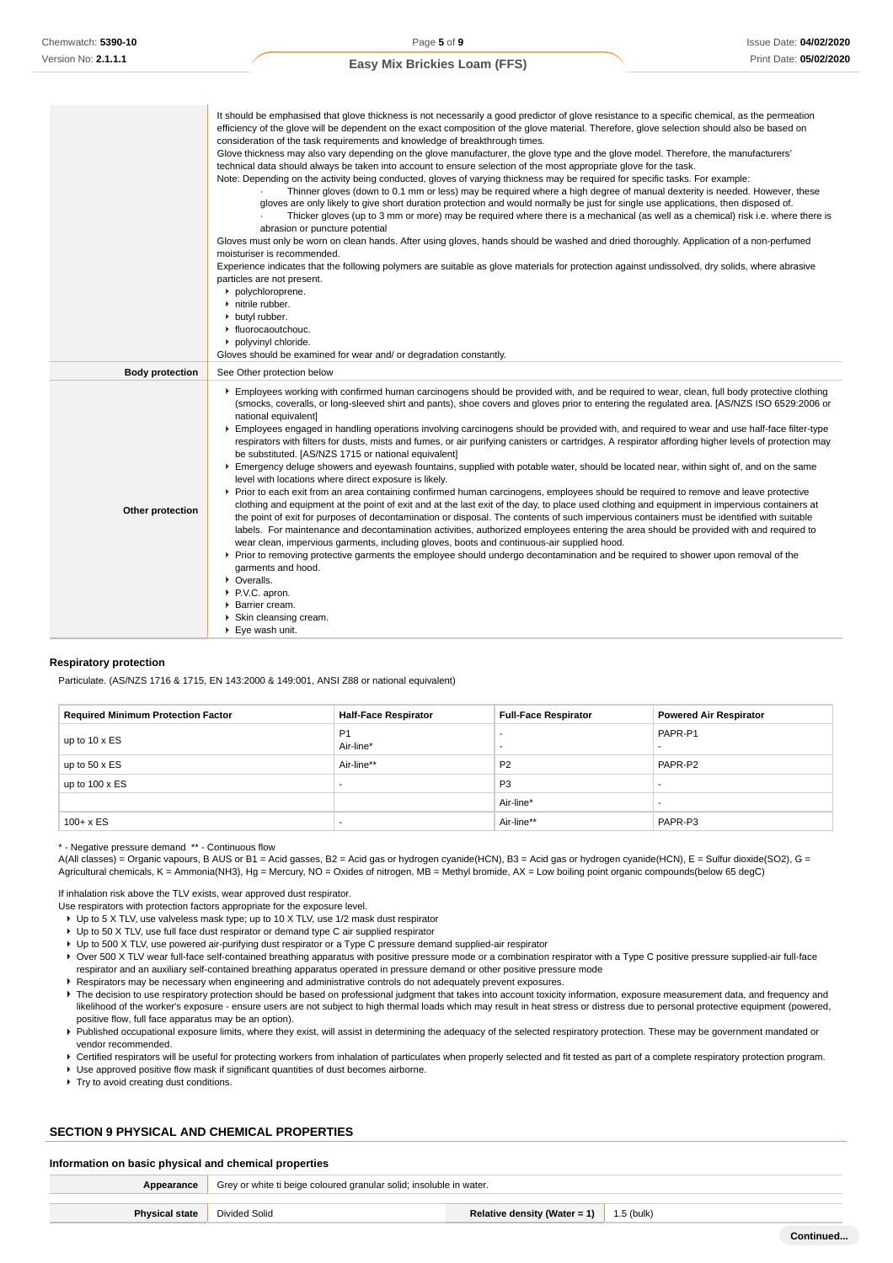|                        | It should be emphasised that glove thickness is not necessarily a good predictor of glove resistance to a specific chemical, as the permeation<br>efficiency of the glove will be dependent on the exact composition of the glove material. Therefore, glove selection should also be based on<br>consideration of the task requirements and knowledge of breakthrough times.<br>Glove thickness may also vary depending on the glove manufacturer, the glove type and the glove model. Therefore, the manufacturers'<br>technical data should always be taken into account to ensure selection of the most appropriate glove for the task.<br>Note: Depending on the activity being conducted, gloves of varying thickness may be required for specific tasks. For example:<br>Thinner gloves (down to 0.1 mm or less) may be required where a high degree of manual dexterity is needed. However, these<br>gloves are only likely to give short duration protection and would normally be just for single use applications, then disposed of.<br>Thicker gloves (up to 3 mm or more) may be required where there is a mechanical (as well as a chemical) risk i.e. where there is<br>abrasion or puncture potential<br>Gloves must only be worn on clean hands. After using gloves, hands should be washed and dried thoroughly. Application of a non-perfumed<br>moisturiser is recommended.<br>Experience indicates that the following polymers are suitable as glove materials for protection against undissolved, dry solids, where abrasive<br>particles are not present.<br>polychloroprene.<br>nitrile rubber.<br>butyl rubber.<br>• fluorocaoutchouc.<br>polyvinyl chloride.<br>Gloves should be examined for wear and/ or degradation constantly.                                                                |
|------------------------|-----------------------------------------------------------------------------------------------------------------------------------------------------------------------------------------------------------------------------------------------------------------------------------------------------------------------------------------------------------------------------------------------------------------------------------------------------------------------------------------------------------------------------------------------------------------------------------------------------------------------------------------------------------------------------------------------------------------------------------------------------------------------------------------------------------------------------------------------------------------------------------------------------------------------------------------------------------------------------------------------------------------------------------------------------------------------------------------------------------------------------------------------------------------------------------------------------------------------------------------------------------------------------------------------------------------------------------------------------------------------------------------------------------------------------------------------------------------------------------------------------------------------------------------------------------------------------------------------------------------------------------------------------------------------------------------------------------------------------------------------------------------------------------------------------------------------------|
| <b>Body protection</b> | See Other protection below                                                                                                                                                                                                                                                                                                                                                                                                                                                                                                                                                                                                                                                                                                                                                                                                                                                                                                                                                                                                                                                                                                                                                                                                                                                                                                                                                                                                                                                                                                                                                                                                                                                                                                                                                                                                  |
| Other protection       | Employees working with confirmed human carcinogens should be provided with, and be required to wear, clean, full body protective clothing<br>(smocks, coveralls, or long-sleeved shirt and pants), shoe covers and gloves prior to entering the regulated area. [AS/NZS ISO 6529:2006 or<br>national equivalent]<br>Employees engaged in handling operations involving carcinogens should be provided with, and required to wear and use half-face filter-type<br>respirators with filters for dusts, mists and fumes, or air purifying canisters or cartridges. A respirator affording higher levels of protection may<br>be substituted. [AS/NZS 1715 or national equivalent]<br>Emergency deluge showers and eyewash fountains, supplied with potable water, should be located near, within sight of, and on the same<br>level with locations where direct exposure is likely.<br>▶ Prior to each exit from an area containing confirmed human carcinogens, employees should be required to remove and leave protective<br>clothing and equipment at the point of exit and at the last exit of the day, to place used clothing and equipment in impervious containers at<br>the point of exit for purposes of decontamination or disposal. The contents of such impervious containers must be identified with suitable<br>labels. For maintenance and decontamination activities, authorized employees entering the area should be provided with and required to<br>wear clean, impervious garments, including gloves, boots and continuous-air supplied hood.<br>▶ Prior to removing protective garments the employee should undergo decontamination and be required to shower upon removal of the<br>garments and hood.<br>• Overalls.<br>P.V.C. apron.<br>Barrier cream.<br>Skin cleansing cream.<br>► Eye wash unit. |

#### **Respiratory protection**

Particulate. (AS/NZS 1716 & 1715, EN 143:2000 & 149:001, ANSI Z88 or national equivalent)

| <b>Required Minimum Protection Factor</b> | <b>Half-Face Respirator</b> | <b>Full-Face Respirator</b> | <b>Powered Air Respirator</b> |
|-------------------------------------------|-----------------------------|-----------------------------|-------------------------------|
| up to $10 \times ES$                      | P <sub>1</sub><br>Air-line* | -                           | PAPR-P1                       |
| up to $50 \times ES$                      | Air-line**                  | P <sub>2</sub>              | PAPR-P2                       |
| up to $100 \times ES$                     | -                           | P <sub>3</sub>              |                               |
|                                           |                             | Air-line*                   |                               |
| $100 + x ES$                              | -                           | Air-line**                  | PAPR-P3                       |

\* - Negative pressure demand \*\* - Continuous flow

A(All classes) = Organic vapours, B AUS or B1 = Acid gasses, B2 = Acid gas or hydrogen cyanide(HCN), B3 = Acid gas or hydrogen cyanide(HCN), E = Sulfur dioxide(SO2), G = Agricultural chemicals, K = Ammonia(NH3), Hg = Mercury, NO = Oxides of nitrogen, MB = Methyl bromide, AX = Low boiling point organic compounds(below 65 degC)

If inhalation risk above the TLV exists, wear approved dust respirator.

- Use respirators with protection factors appropriate for the exposure level.
	- Up to 5 X TLV, use valveless mask type; up to 10 X TLV, use 1/2 mask dust respirator
	- Up to 50 X TLV, use full face dust respirator or demand type C air supplied respirator
- ► Up to 500 X TLV, use powered air-purifying dust respirator or a Type C pressure demand supplied-air respirator ▶ Over 500 X TLV wear full-face self-contained breathing apparatus with positive pressure mode or a combination respirator with a Type C positive pressure supplied-air full-face
- respirator and an auxiliary self-contained breathing apparatus operated in pressure demand or other positive pressure mode
- Respirators may be necessary when engineering and administrative controls do not adequately prevent exposures.
- The decision to use respiratory protection should be based on professional judgment that takes into account toxicity information, exposure measurement data, and frequency and likelihood of the worker's exposure - ensure users are not subject to high thermal loads which may result in heat stress or distress due to personal protective equipment (powered, positive flow, full face apparatus may be an option).
- Published occupational exposure limits, where they exist, will assist in determining the adequacy of the selected respiratory protection. These may be government mandated or vendor recommended.

▶ Certified respirators will be useful for protecting workers from inhalation of particulates when properly selected and fit tested as part of a complete respiratory protection program.

Use approved positive flow mask if significant quantities of dust becomes airborne.

**Try to avoid creating dust conditions.** 

### **SECTION 9 PHYSICAL AND CHEMICAL PROPERTIES**

#### **Information on basic physical and chemical properties**

| Appearance            | Grey or white ti beige coloured granular solid; insoluble in water. |                              |            |
|-----------------------|---------------------------------------------------------------------|------------------------------|------------|
|                       |                                                                     |                              |            |
| <b>Physical state</b> | Divided Solid                                                       | Relative density (Water = 1) | 1.5 (bulk) |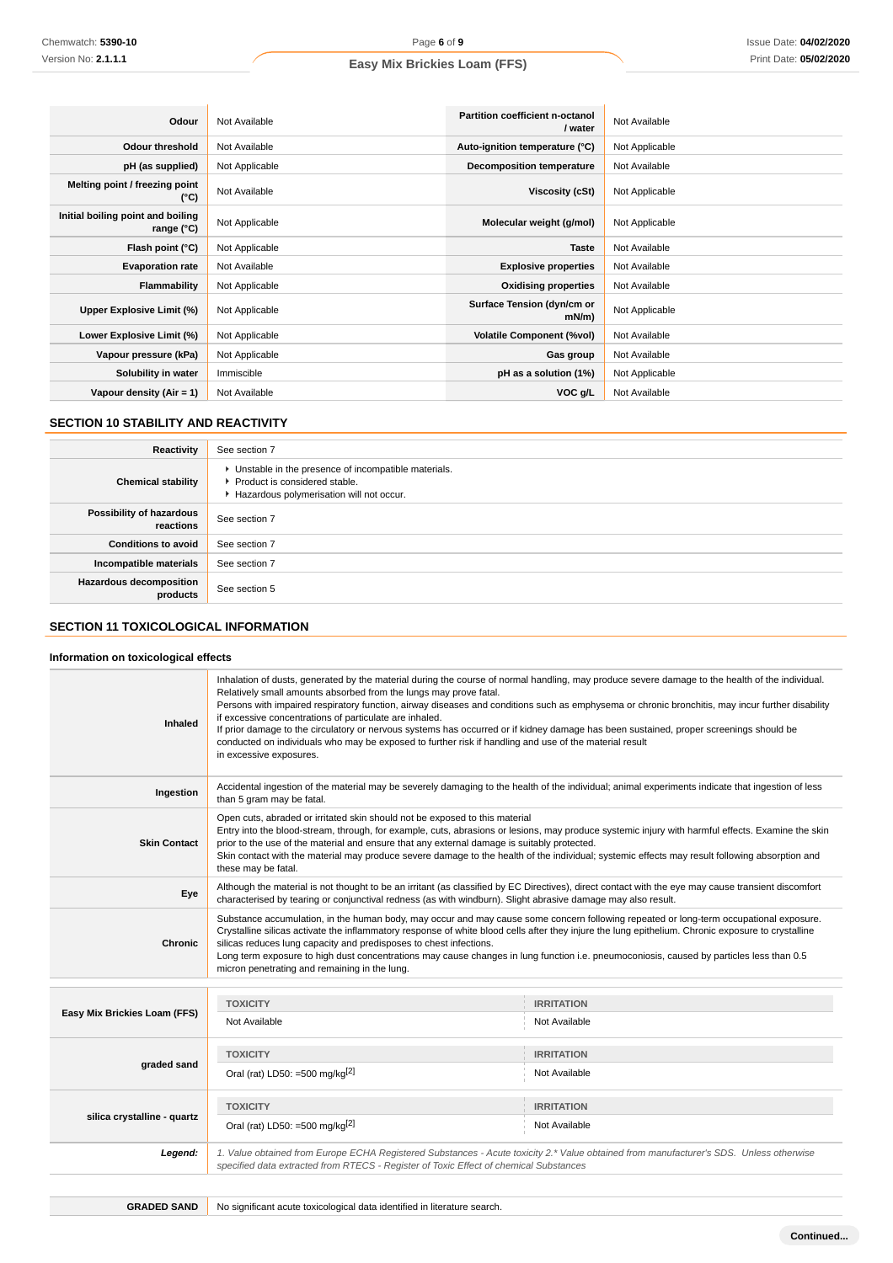| Odour                                           | Not Available  | <b>Partition coefficient n-octanol</b><br>/ water | Not Available  |
|-------------------------------------------------|----------------|---------------------------------------------------|----------------|
| Odour threshold                                 | Not Available  | Auto-ignition temperature (°C)                    | Not Applicable |
| pH (as supplied)                                | Not Applicable | <b>Decomposition temperature</b>                  | Not Available  |
| Melting point / freezing point<br>(°C)          | Not Available  | Viscosity (cSt)                                   | Not Applicable |
| Initial boiling point and boiling<br>range (°C) | Not Applicable | Molecular weight (g/mol)                          | Not Applicable |
| Flash point (°C)                                | Not Applicable | <b>Taste</b>                                      | Not Available  |
| <b>Evaporation rate</b>                         | Not Available  | <b>Explosive properties</b>                       | Not Available  |
| Flammability                                    | Not Applicable | <b>Oxidising properties</b>                       | Not Available  |
| Upper Explosive Limit (%)                       | Not Applicable | Surface Tension (dyn/cm or<br>$mN/m$ )            | Not Applicable |
| Lower Explosive Limit (%)                       | Not Applicable | <b>Volatile Component (%vol)</b>                  | Not Available  |
| Vapour pressure (kPa)                           | Not Applicable | Gas group                                         | Not Available  |
| Solubility in water                             | Immiscible     | pH as a solution (1%)                             | Not Applicable |
| Vapour density (Air = 1)                        | Not Available  | VOC g/L                                           | Not Available  |

# **SECTION 10 STABILITY AND REACTIVITY**

| Reactivity                                 | See section 7                                                                                                                        |
|--------------------------------------------|--------------------------------------------------------------------------------------------------------------------------------------|
| <b>Chemical stability</b>                  | • Unstable in the presence of incompatible materials.<br>▶ Product is considered stable.<br>Hazardous polymerisation will not occur. |
| Possibility of hazardous<br>reactions      | See section 7                                                                                                                        |
| <b>Conditions to avoid</b>                 | See section 7                                                                                                                        |
| Incompatible materials                     | See section 7                                                                                                                        |
| <b>Hazardous decomposition</b><br>products | See section 5                                                                                                                        |

### **SECTION 11 TOXICOLOGICAL INFORMATION**

### **Information on toxicological effects**

| Inhaled                      | Inhalation of dusts, generated by the material during the course of normal handling, may produce severe damage to the health of the individual.<br>Relatively small amounts absorbed from the lungs may prove fatal.<br>Persons with impaired respiratory function, airway diseases and conditions such as emphysema or chronic bronchitis, may incur further disability<br>if excessive concentrations of particulate are inhaled.<br>If prior damage to the circulatory or nervous systems has occurred or if kidney damage has been sustained, proper screenings should be<br>conducted on individuals who may be exposed to further risk if handling and use of the material result<br>in excessive exposures. |                                    |  |
|------------------------------|--------------------------------------------------------------------------------------------------------------------------------------------------------------------------------------------------------------------------------------------------------------------------------------------------------------------------------------------------------------------------------------------------------------------------------------------------------------------------------------------------------------------------------------------------------------------------------------------------------------------------------------------------------------------------------------------------------------------|------------------------------------|--|
| Ingestion                    | Accidental ingestion of the material may be severely damaging to the health of the individual; animal experiments indicate that ingestion of less<br>than 5 gram may be fatal.                                                                                                                                                                                                                                                                                                                                                                                                                                                                                                                                     |                                    |  |
| <b>Skin Contact</b>          | Open cuts, abraded or irritated skin should not be exposed to this material<br>Entry into the blood-stream, through, for example, cuts, abrasions or lesions, may produce systemic injury with harmful effects. Examine the skin<br>prior to the use of the material and ensure that any external damage is suitably protected.<br>Skin contact with the material may produce severe damage to the health of the individual; systemic effects may result following absorption and<br>these may be fatal.                                                                                                                                                                                                           |                                    |  |
| Eye                          | Although the material is not thought to be an irritant (as classified by EC Directives), direct contact with the eye may cause transient discomfort<br>characterised by tearing or conjunctival redness (as with windburn). Slight abrasive damage may also result.                                                                                                                                                                                                                                                                                                                                                                                                                                                |                                    |  |
| <b>Chronic</b>               | Substance accumulation, in the human body, may occur and may cause some concern following repeated or long-term occupational exposure.<br>Crystalline silicas activate the inflammatory response of white blood cells after they injure the lung epithelium. Chronic exposure to crystalline<br>silicas reduces lung capacity and predisposes to chest infections.<br>Long term exposure to high dust concentrations may cause changes in lung function i.e. pneumoconiosis, caused by particles less than 0.5<br>micron penetrating and remaining in the lung.                                                                                                                                                    |                                    |  |
|                              |                                                                                                                                                                                                                                                                                                                                                                                                                                                                                                                                                                                                                                                                                                                    |                                    |  |
| Easy Mix Brickies Loam (FFS) | <b>TOXICITY</b><br>Not Available                                                                                                                                                                                                                                                                                                                                                                                                                                                                                                                                                                                                                                                                                   | <b>IRRITATION</b><br>Not Available |  |
| graded sand                  | <b>TOXICITY</b><br>Oral (rat) LD50: =500 mg/kg $^{[2]}$                                                                                                                                                                                                                                                                                                                                                                                                                                                                                                                                                                                                                                                            | <b>IRRITATION</b><br>Not Available |  |
| silica crystalline - quartz  | <b>TOXICITY</b><br>Oral (rat) LD50: =500 mg/kg $^{[2]}$                                                                                                                                                                                                                                                                                                                                                                                                                                                                                                                                                                                                                                                            | <b>IRRITATION</b><br>Not Available |  |

**Legend:** 1. Value obtained from Europe ECHA Registered Substances - Acute toxicity 2.\* Value obtained from manufacturer's SDS. Unless otherwise specified data extracted from RTECS - Register of Toxic Effect of chemical Substances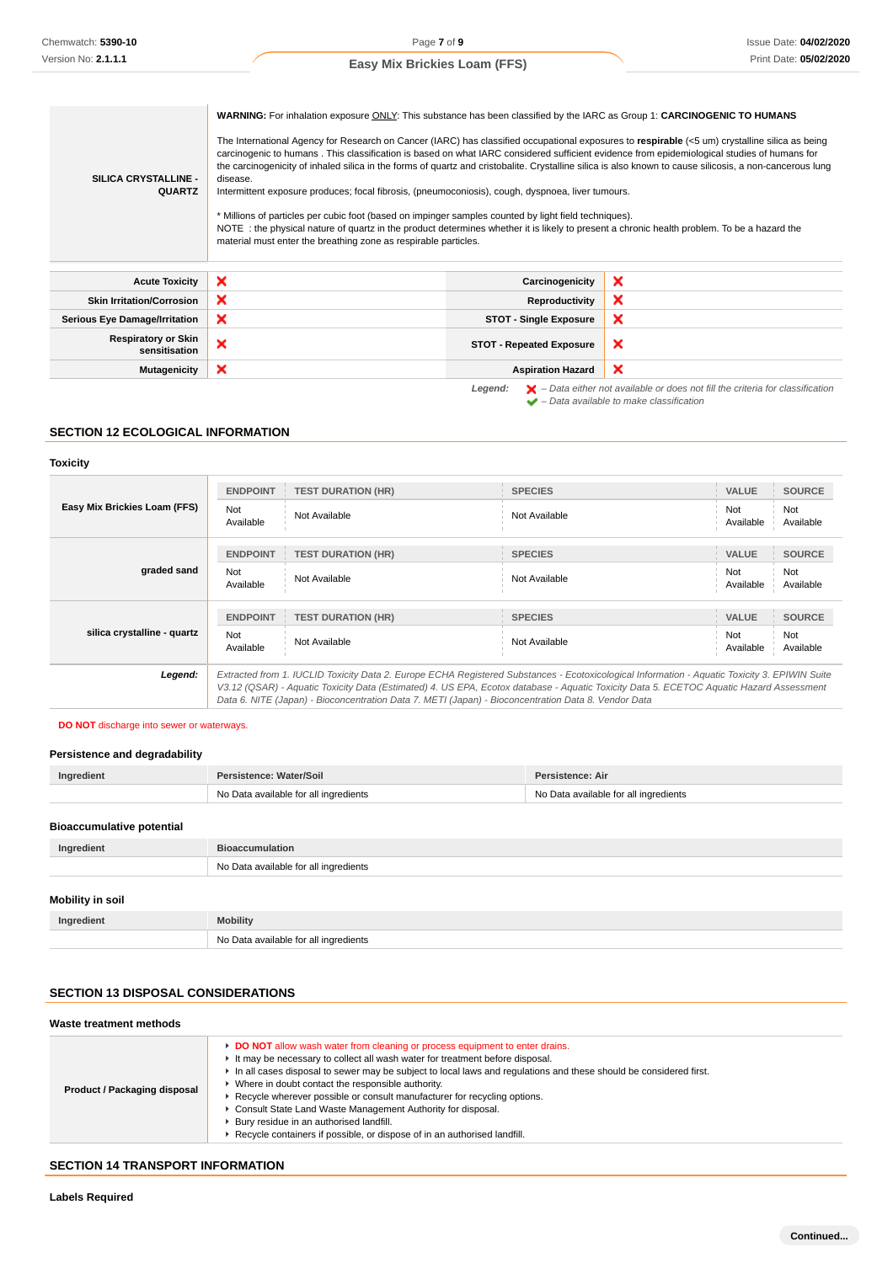| SILICA CRYSTALLINE -<br><b>QUARTZ</b>       | WARNING: For inhalation exposure ONLY: This substance has been classified by the IARC as Group 1: CARCINOGENIC TO HUMANS<br>The International Agency for Research on Cancer (IARC) has classified occupational exposures to respirable (<5 um) crystalline silica as being<br>carcinogenic to humans. This classification is based on what IARC considered sufficient evidence from epidemiological studies of humans for<br>the carcinogenicity of inhaled silica in the forms of quartz and cristobalite. Crystalline silica is also known to cause silicosis, a non-cancerous lung<br>disease.<br>Intermittent exposure produces; focal fibrosis, (pneumoconiosis), cough, dyspnoea, liver tumours.<br>* Millions of particles per cubic foot (based on impinger samples counted by light field techniques).<br>NOTE: the physical nature of quartz in the product determines whether it is likely to present a chronic health problem. To be a hazard the<br>material must enter the breathing zone as respirable particles. |                                                                                                                                                                     |
|---------------------------------------------|----------------------------------------------------------------------------------------------------------------------------------------------------------------------------------------------------------------------------------------------------------------------------------------------------------------------------------------------------------------------------------------------------------------------------------------------------------------------------------------------------------------------------------------------------------------------------------------------------------------------------------------------------------------------------------------------------------------------------------------------------------------------------------------------------------------------------------------------------------------------------------------------------------------------------------------------------------------------------------------------------------------------------------|---------------------------------------------------------------------------------------------------------------------------------------------------------------------|
| <b>Acute Toxicity</b>                       | ×<br>Carcinogenicity                                                                                                                                                                                                                                                                                                                                                                                                                                                                                                                                                                                                                                                                                                                                                                                                                                                                                                                                                                                                             | ×                                                                                                                                                                   |
| <b>Skin Irritation/Corrosion</b>            | ×<br>Reproductivity                                                                                                                                                                                                                                                                                                                                                                                                                                                                                                                                                                                                                                                                                                                                                                                                                                                                                                                                                                                                              | ×                                                                                                                                                                   |
| <b>Serious Eye Damage/Irritation</b>        | ×<br><b>STOT - Single Exposure</b>                                                                                                                                                                                                                                                                                                                                                                                                                                                                                                                                                                                                                                                                                                                                                                                                                                                                                                                                                                                               | ×                                                                                                                                                                   |
| <b>Respiratory or Skin</b><br>sensitisation | ×<br><b>STOT - Repeated Exposure</b>                                                                                                                                                                                                                                                                                                                                                                                                                                                                                                                                                                                                                                                                                                                                                                                                                                                                                                                                                                                             | ×                                                                                                                                                                   |
| <b>Mutagenicity</b>                         | ×<br><b>Aspiration Hazard</b>                                                                                                                                                                                                                                                                                                                                                                                                                                                                                                                                                                                                                                                                                                                                                                                                                                                                                                                                                                                                    | $\boldsymbol{\mathsf{x}}$                                                                                                                                           |
|                                             | Legend:                                                                                                                                                                                                                                                                                                                                                                                                                                                                                                                                                                                                                                                                                                                                                                                                                                                                                                                                                                                                                          | $\blacktriangleright$ - Data either not available or does not fill the criteria for classification<br>$\blacktriangleright$ - Data available to make classification |

# **SECTION 12 ECOLOGICAL INFORMATION**

### **Toxicity**

| Easy Mix Brickies Loam (FFS) | <b>ENDPOINT</b><br>Not<br>Available | <b>TEST DURATION (HR)</b><br>Not Available                                                                                                                                                                                                                                                                                                                                                      | <b>SPECIES</b><br>Not Available | <b>VALUE</b><br>Not<br>Available | <b>SOURCE</b><br>Not<br>Available |
|------------------------------|-------------------------------------|-------------------------------------------------------------------------------------------------------------------------------------------------------------------------------------------------------------------------------------------------------------------------------------------------------------------------------------------------------------------------------------------------|---------------------------------|----------------------------------|-----------------------------------|
| graded sand                  | <b>ENDPOINT</b><br>Not<br>Available | <b>TEST DURATION (HR)</b><br>Not Available                                                                                                                                                                                                                                                                                                                                                      | <b>SPECIES</b><br>Not Available | <b>VALUE</b><br>Not<br>Available | <b>SOURCE</b><br>Not<br>Available |
| silica crystalline - quartz  | <b>ENDPOINT</b><br>Not<br>Available | <b>TEST DURATION (HR)</b><br>Not Available                                                                                                                                                                                                                                                                                                                                                      | <b>SPECIES</b><br>Not Available | <b>VALUE</b><br>Not<br>Available | <b>SOURCE</b><br>Not<br>Available |
| Legend:                      |                                     | Extracted from 1. IUCLID Toxicity Data 2. Europe ECHA Registered Substances - Ecotoxicological Information - Aquatic Toxicity 3. EPIWIN Suite<br>V3.12 (QSAR) - Aquatic Toxicity Data (Estimated) 4. US EPA, Ecotox database - Aquatic Toxicity Data 5. ECETOC Aquatic Hazard Assessment<br>Data 6. NITE (Japan) - Bioconcentration Data 7. METI (Japan) - Bioconcentration Data 8. Vendor Data |                                 |                                  |                                   |

# **DO NOT** discharge into sewer or waterways.

### **Persistence and degradability**

| Ingredient                       | Persistence: Water/Soil               | Persistence: Air                      |
|----------------------------------|---------------------------------------|---------------------------------------|
|                                  | No Data available for all ingredients | No Data available for all ingredients |
| <b>Bioaccumulative potential</b> |                                       |                                       |
| Ingredient                       | <b>Bioaccumulation</b>                |                                       |
|                                  | No Data available for all ingredients |                                       |

# **Mobility in soil**

| Ingredient | <b>Mobility</b>                       |
|------------|---------------------------------------|
|            | No Data available for all ingredients |

# **SECTION 13 DISPOSAL CONSIDERATIONS**

| Waste treatment methods      |                                                                                                                                                                                                                                                                                                                                                                                                                                                                                                                                                                                                               |  |  |  |
|------------------------------|---------------------------------------------------------------------------------------------------------------------------------------------------------------------------------------------------------------------------------------------------------------------------------------------------------------------------------------------------------------------------------------------------------------------------------------------------------------------------------------------------------------------------------------------------------------------------------------------------------------|--|--|--|
| Product / Packaging disposal | DO NOT allow wash water from cleaning or process equipment to enter drains.<br>It may be necessary to collect all wash water for treatment before disposal.<br>In all cases disposal to sewer may be subject to local laws and regulations and these should be considered first.<br>▶ Where in doubt contact the responsible authority.<br>▶ Recycle wherever possible or consult manufacturer for recycling options.<br>Consult State Land Waste Management Authority for disposal.<br>Bury residue in an authorised landfill.<br>▶ Recycle containers if possible, or dispose of in an authorised landfill. |  |  |  |

# **SECTION 14 TRANSPORT INFORMATION**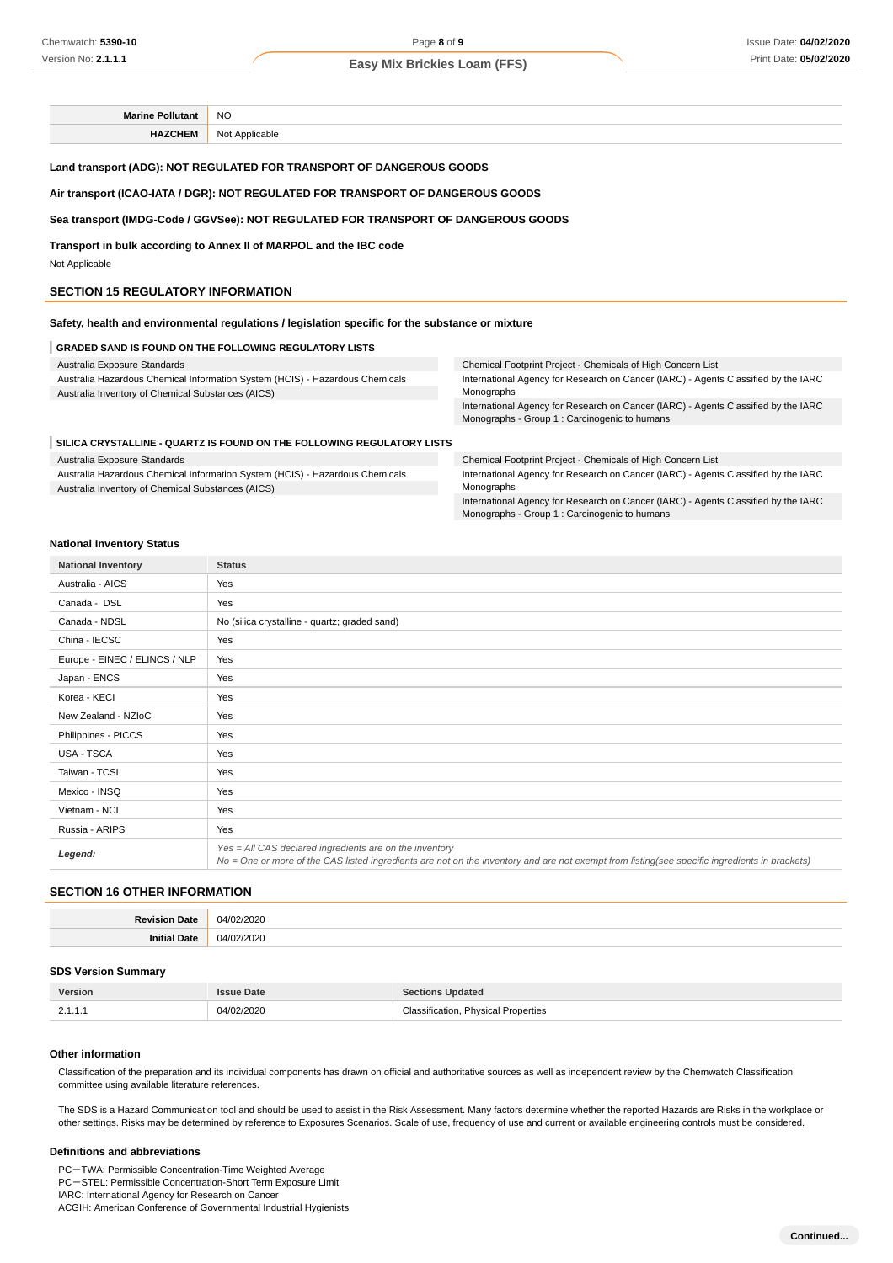**Marine Pollutant** NO **HAZCHEM** Not Applicable

#### **Land transport (ADG): NOT REGULATED FOR TRANSPORT OF DANGEROUS GOODS**

#### **Air transport (ICAO-IATA / DGR): NOT REGULATED FOR TRANSPORT OF DANGEROUS GOODS**

#### **Sea transport (IMDG-Code / GGVSee): NOT REGULATED FOR TRANSPORT OF DANGEROUS GOODS**

**Transport in bulk according to Annex II of MARPOL and the IBC code** Not Applicable

#### **SECTION 15 REGULATORY INFORMATION**

**Safety, health and environmental regulations / legislation specific for the substance or mixture**

#### **GRADED SAND IS FOUND ON THE FOLLOWING REGULATORY LISTS**

| Australia Exposure Standards                                                 | Chemical Footprint Project - Chemicals of High Concern List                                                                         |  |
|------------------------------------------------------------------------------|-------------------------------------------------------------------------------------------------------------------------------------|--|
| Australia Hazardous Chemical Information System (HCIS) - Hazardous Chemicals | International Agency for Research on Cancer (IARC) - Agents Classified by the IARC                                                  |  |
| Australia Inventory of Chemical Substances (AICS)                            | Monographs                                                                                                                          |  |
|                                                                              | International Agency for Research on Cancer (IARC) - Agents Classified by the IARC<br>Monographs - Group 1 : Carcinogenic to humans |  |
| SILICA CRYSTALLINE - QUARTZ IS FOUND ON THE FOLLOWING REGULATORY LISTS       |                                                                                                                                     |  |
|                                                                              |                                                                                                                                     |  |

Australia Exposure Standards

Australia Hazardous Chemical Information System (HCIS) - Hazardous Chemicals Australia Inventory of Chemical Substances (AICS)

Chemical Footprint Project - Chemicals of High Concern List International Agency for Research on Cancer (IARC) - Agents Classified by the IARC Monographs International Agency for Research on Cancer (IARC) - Agents Classified by the IARC

Monographs - Group 1 : Carcinogenic to humans

#### **National Inventory Status**

| <b>National Inventory</b>     | <b>Status</b>                                                                                                                                                                                              |  |
|-------------------------------|------------------------------------------------------------------------------------------------------------------------------------------------------------------------------------------------------------|--|
| Australia - AICS              | Yes                                                                                                                                                                                                        |  |
| Canada - DSL                  | Yes                                                                                                                                                                                                        |  |
| Canada - NDSL                 | No (silica crystalline - quartz; graded sand)                                                                                                                                                              |  |
| China - IECSC                 | Yes                                                                                                                                                                                                        |  |
| Europe - EINEC / ELINCS / NLP | Yes                                                                                                                                                                                                        |  |
| Japan - ENCS                  | Yes                                                                                                                                                                                                        |  |
| Korea - KECI                  | Yes                                                                                                                                                                                                        |  |
| New Zealand - NZIoC           | Yes                                                                                                                                                                                                        |  |
| Philippines - PICCS           | Yes                                                                                                                                                                                                        |  |
| USA - TSCA                    | Yes                                                                                                                                                                                                        |  |
| Taiwan - TCSI                 | Yes                                                                                                                                                                                                        |  |
| Mexico - INSQ                 | Yes                                                                                                                                                                                                        |  |
| Vietnam - NCI                 | Yes                                                                                                                                                                                                        |  |
| Russia - ARIPS                | Yes                                                                                                                                                                                                        |  |
| Legend:                       | $Yes = All CAS declared ingredients are on the inventory$<br>No = One or more of the CAS listed ingredients are not on the inventory and are not exempt from listing(see specific ingredients in brackets) |  |

### **SECTION 16 OTHER INFORMATION**

| ۱л<br>. |
|---------|
| ۱л<br>. |

#### **SDS Version Summary**

| <b>Version</b> | Date            | Updated                                                    |
|----------------|-----------------|------------------------------------------------------------|
| <u>.</u>       | 04/02/2020<br>. | Classification.<br>Physical<br>l Properties<br>.<br>.<br>. |

#### **Other information**

Classification of the preparation and its individual components has drawn on official and authoritative sources as well as independent review by the Chemwatch Classification committee using available literature references.

The SDS is a Hazard Communication tool and should be used to assist in the Risk Assessment. Many factors determine whether the reported Hazards are Risks in the workplace or other settings. Risks may be determined by reference to Exposures Scenarios. Scale of use, frequency of use and current or available engineering controls must be considered.

#### **Definitions and abbreviations**

PC-TWA: Permissible Concentration-Time Weighted Average PC-STEL: Permissible Concentration-Short Term Exposure Limit IARC: International Agency for Research on Cancer ACGIH: American Conference of Governmental Industrial Hygienists